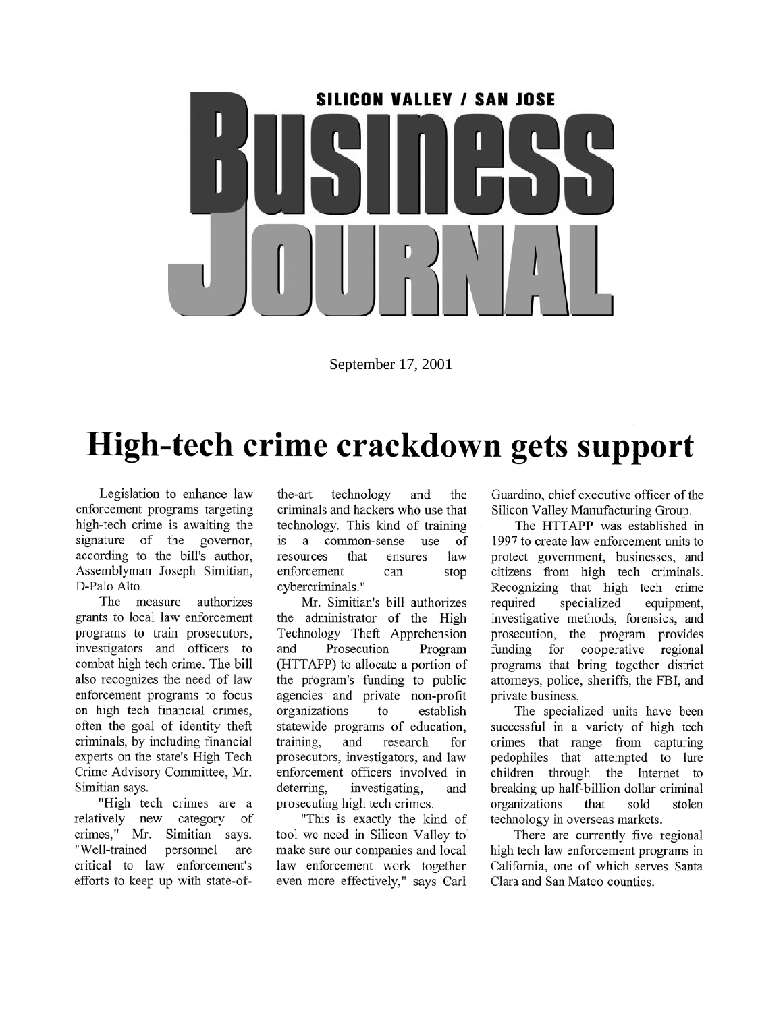

September 17, 2001

### High-tech crime crackdown gets support

Legislation to enhance law enforcement programs targeting high-tech crime is awaiting the signature of the governor, according to the bill's author, Assemblyman Joseph Simitian, D-Palo Alto.

The measure authorizes grants to local law enforcement programs to train prosecutors, investigators and officers to combat high tech crime. The bill also recognizes the need of law enforcement programs to focus on high tech financial crimes, often the goal of identity theft criminals, by including financial experts on the state's High Tech Crime Advisory Committee, Mr. Simitian says.

"High tech crimes are a relatively new category of crimes," Mr. Simitian says. "Well-trained personnel are critical to law enforcement's efforts to keep up with state-ofthe-art technology and the criminals and hackers who use that technology. This kind of training a common-sense is use of resources that ensures law enforcement can stop cybercriminals."

Mr. Simitian's bill authorizes the administrator of the High Technology Theft Apprehension Prosecution and Program (HTTAPP) to allocate a portion of the program's funding to public agencies and private non-profit organizations establish to statewide programs of education. training. and research for prosecutors, investigators, and law enforcement officers involved in deterring, investigating, and prosecuting high tech crimes.

"This is exactly the kind of tool we need in Silicon Valley to make sure our companies and local law enforcement work together even more effectively," says Carl

Guardino, chief executive officer of the Silicon Valley Manufacturing Group.

The HTTAPP was established in 1997 to create law enforcement units to protect government, businesses, and citizens from high tech criminals. Recognizing that high tech crime required specialized equipment, investigative methods, forensics, and prosecution, the program provides for cooperative funding regional programs that bring together district attorneys, police, sheriffs, the FBI, and private business.

The specialized units have been successful in a variety of high tech crimes that range from capturing pedophiles that attempted to lure children through the Internet to breaking up half-billion dollar criminal organizations that sold stolen technology in overseas markets.

There are currently five regional high tech law enforcement programs in California, one of which serves Santa Clara and San Mateo counties.